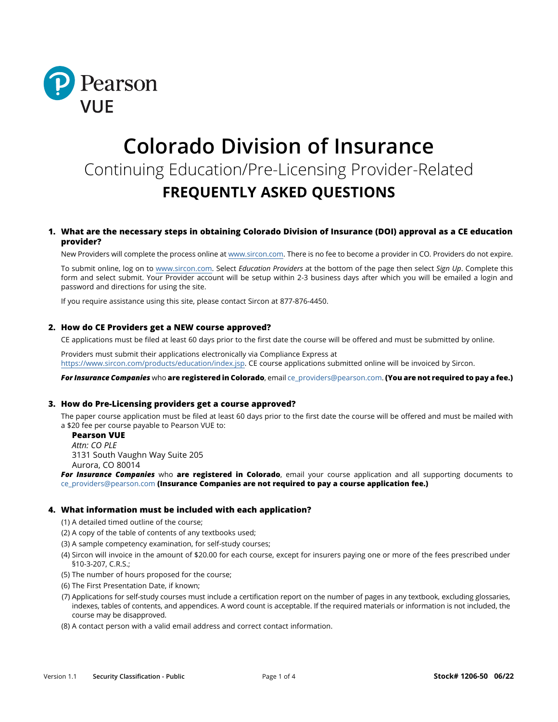

# **Colorado Division of Insurance** Continuing Education/Pre-Licensing Provider-Related **FREQUENTLY ASKED QUESTIONS**

## **1. What are the necessary steps in obtaining Colorado Division of Insurance (DOI) approval as a CE education provider?**

New Providers will complete the process online at www.sircon.co[m.](http://www.sircon.com) There is no fee to become a provider in CO. Providers do not expire.

To submit online, log on [to www.sircon.com.](http://www.sircon.com) Select *Education Providers* at the bottom of the page then select *Sign Up*. Complete this form and select submit. Your Provider account will be setup within 2-3 business days after which you will be emailed a login and password and directions for using the site.

If you require assistance using this site, please contact Sircon at 877-876-4450.

#### **2. How do CE Providers get a NEW course approved?**

CE applications must be filed at least 60 days prior to the first date the course will be offered and must be submitted by online.

Providers must submit their applications electronically via Compliance Express at [https://www.sircon.com/products/education/index.jsp.](https://www.sircon.com/products/education/index.jsp) CE course applications submitted online will be invoiced by Sircon.

*For Insurance Companies* who **are registered in Colorado**, email [ce\\_providers@pearson.com](http://ce_providers@pearson.com). **(You are not required to pay a fee.)**

#### **3. How do Pre-Licensing providers get a course approved?**

The paper course application must be filed at least 60 days prior to the first date the course will be offered and must be mailed with a \$20 fee per course payable to Pearson VUE to:

**Pearson VUE** *Attn: CO PLE* 3131 South Vaughn Way Suite 205

Aurora, CO 80014

*For Insurance Companies* who **are registered in Colorado**, email your course application and all supporting documents to ce\_providers@pearson.com **(Insurance Companies are not required to pay a course application fee.)**

#### **4. What information must be included with each application?**

- (1) A detailed timed outline of the course;
- (2) A copy of the table of contents of any textbooks used;
- (3) A sample competency examination, for self-study courses;
- (4) Sircon will invoice in the amount of \$20.00 for each course, except for insurers paying one or more of the fees prescribed under §10-3-207, C.R.S.;
- (5) The number of hours proposed for the course;
- (6) The First Presentation Date, if known;
- (7) Applications for self-study courses must include a certification report on the number of pages in any textbook, excluding glossaries, indexes, tables of contents, and appendices. A word count is acceptable. If the required materials or information is not included, the course may be disapproved.
- (8) A contact person with a valid email address and correct contact information.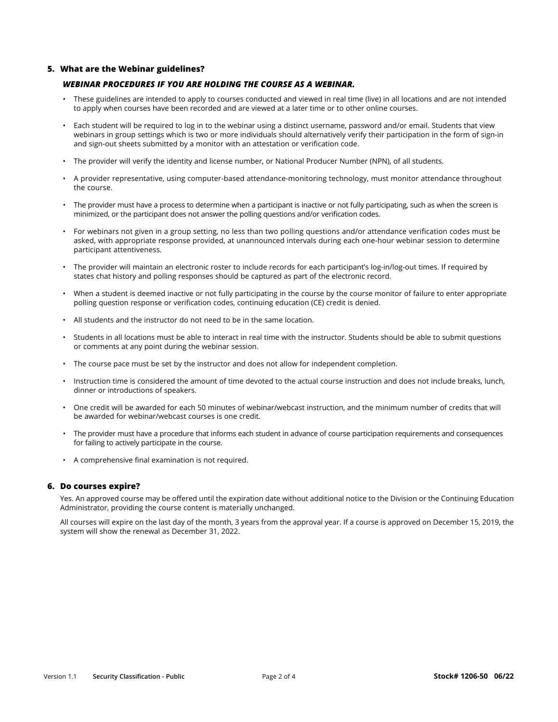## **5. What are the Webinar guidelines?**

## *WEBINAR PROCEDURES IF YOU ARE HOLDING THE COURSE AS A WEBINAR.*

- These guidelines are intended to apply to courses conducted and viewed in real time (live) in all locations and are not intended to apply when courses have been recorded and are viewed at a later time or to other online courses.
- Each student will be required to log in to the webinar using a distinct username, password and/or email. Students that view webinars in group settings which is two or more individuals should alternatively verify their participation in the form of sign-in and sign-out sheets submitted by a monitor with an attestation or verification code.
- The provider will verify the identity and license number, or National Producer Number (NPN), of all students.
- A provider representative, using computer-based attendance-monitoring technology, must monitor attendance throughout the course.
- The provider must have a process to determine when a participant is inactive or not fully participating, such as when the screen is minimized, or the participant does not answer the polling questions and/or verification codes.
- For webinars not given in a group setting, no less than two polling questions and/or attendance verification codes must be asked, with appropriate response provided, at unannounced intervals during each one-hour webinar session to determine participant attentiveness.
- The provider will maintain an electronic roster to include records for each participant's log-in/log-out times. If required by states chat history and polling responses should be captured as part of the electronic record.
- When a student is deemed inactive or not fully participating in the course by the course monitor of failure to enter appropriate polling question response or verification codes, continuing education (CE) credit is denied.
- All students and the instructor do not need to be in the same location.
- Students in all locations must be able to interact in real time with the instructor. Students should be able to submit questions or comments at any point during the webinar session.
- The course pace must be set by the instructor and does not allow for independent completion.
- Instruction time is considered the amount of time devoted to the actual course instruction and does not include breaks, lunch, dinner or introductions of speakers.
- One credit will be awarded for each 50 minutes of webinar/webcast instruction, and the minimum number of credits that will be awarded for webinar/webcast courses is one credit.
- The provider must have a procedure that informs each student in advance of course participation requirements and consequences for failing to actively participate in the course.
- A comprehensive final examination is not required.

## **6. Do courses expire?**

Yes. An approved course may be offered until the expiration date without additional notice to the Division or the Continuing Education Administrator, providing the course content is materially unchanged.

All courses will expire on the last day of the month, 3 years from the approval year. If a course is approved on December 15, 2019, the system will show the renewal as December 31, 2022.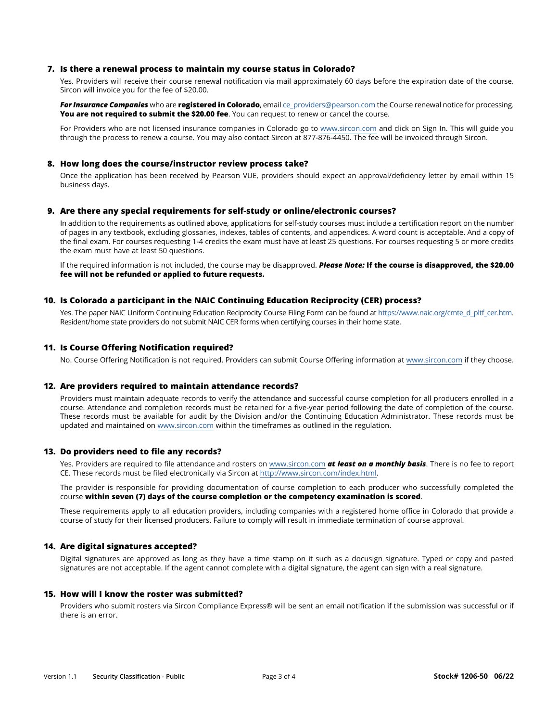#### **7. Is there a renewal process to maintain my course status in Colorado?**

Yes. Providers will receive their course renewal notification via mail approximately 60 days before the expiration date of the course. Sircon will invoice you for the fee of \$20.00.

*For Insurance Companies* who are **registered in Colorado**, email [ce\\_providers@pearson.com](mailto:ce_providers%40pearson.com?subject=) the Course renewal notice for processing. You are not required to submit the \$20.00 fee. You can request to renew or cancel the course.

For Providers who are not licensed insurance companies in Colorado go to [www.sircon.com](http://www.sircon.com) and click on Sign In. This will guide you through the process to renew a course. You may also contact Sircon at 877-876-4450. The fee will be invoiced through Sircon.

## **8. How long does the course/instructor review process take?**

Once the application has been received by Pearson VUE, providers should expect an approval/deficiency letter by email within 15 business days.

## **9. Are there any special requirements for self-study or online/electronic courses?**

In addition to the requirements as outlined above, applications for self-study courses must include a certification report on the number of pages in any textbook, excluding glossaries, indexes, tables of contents, and appendices. A word count is acceptable. And a copy of the final exam. For courses requesting 1-4 credits the exam must have at least 25 questions. For courses requesting 5 or more credits the exam must have at least 50 questions.

If the required information is not included, the course may be disapproved. *Please Note:* **If the course is disapproved, the \$20.00 fee will not be refunded or applied to future requests.**

#### **10. Is Colorado a participant in the NAIC Continuing Education Reciprocity (CER) process?**

Yes. The paper NAIC Uniform Continuing Education Reciprocity Course Filing Form can be found at [https://www.naic.org/cmte\\_d\\_pltf\\_cer.htm](https://www.naic.org/cmte_d_pltf_cer.htm). Resident/home state providers do not submit NAIC CER forms when certifying courses in their home state.

#### **11. Is Course Offering Notification required?**

No. Course Offering Notification is not required. Providers can submit Course Offering information at [www.sircon.com](http://www.sircon.com) [i](http://www.sircon.com/)f they choose.

#### **12. Are providers required to maintain attendance records?**

Providers must maintain adequate records to verify the attendance and successful course completion for all producers enrolled in a course. Attendance and completion records must be retained for a five-year period following the date of completion of the course. These records must be available for audit by the Division and/or the Continuing Education Administrator. These records must be updated and maintained on [www.sircon.com](http://www.sircon.com/) within the timeframes as outlined in the regulation.

#### **13. Do providers need to file any records?**

Yes. Providers are required to file attendance and rosters on [www.sircon.com](http://www.sircon.com/) *at least on a monthly basis*. There is no fee to report CE. These records must be filed electronically via Sircon at [http://www.sircon.com/index.html.](http://www.sircon.com/index.html)

The provider is responsible for providing documentation of course completion to each producer who successfully completed the course **within seven (7) days of the course completion or the competency examination is scored**.

These requirements apply to all education providers, including companies with a registered home office in Colorado that provide a course of study for their licensed producers. Failure to comply will result in immediate termination of course approval.

#### **14. Are digital signatures accepted?**

Digital signatures are approved as long as they have a time stamp on it such as a docusign signature. Typed or copy and pasted signatures are not acceptable. If the agent cannot complete with a digital signature, the agent can sign with a real signature.

#### **15. How will I know the roster was submitted?**

Providers who submit rosters via Sircon Compliance Express® will be sent an email notification if the submission was successful or if there is an error.